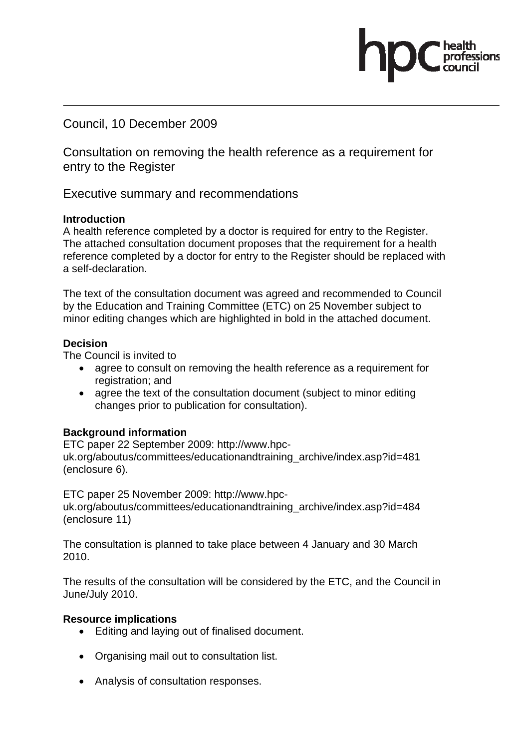Council, 10 December 2009

Consultation on removing the health reference as a requirement for entry to the Register

Executive summary and recommendations

#### **Introduction**

A health reference completed by a doctor is required for entry to the Register. The attached consultation document proposes that the requirement for a health reference completed by a doctor for entry to the Register should be replaced with a self-declaration.

The text of the consultation document was agreed and recommended to Council by the Education and Training Committee (ETC) on 25 November subject to minor editing changes which are highlighted in bold in the attached document.

#### **Decision**

The Council is invited to

- agree to consult on removing the health reference as a requirement for registration; and
- agree the text of the consultation document (subject to minor editing changes prior to publication for consultation).

# **Background information**

ETC paper 22 September 2009: http://www.hpcuk.org/aboutus/committees/educationandtraining\_archive/index.asp?id=481 (enclosure 6).

ETC paper 25 November 2009: http://www.hpcuk.org/aboutus/committees/educationandtraining\_archive/index.asp?id=484 (enclosure 11)

The consultation is planned to take place between 4 January and 30 March 2010.

The results of the consultation will be considered by the ETC, and the Council in June/July 2010.

# **Resource implications**

- Editing and laying out of finalised document.
- Organising mail out to consultation list.
- Analysis of consultation responses.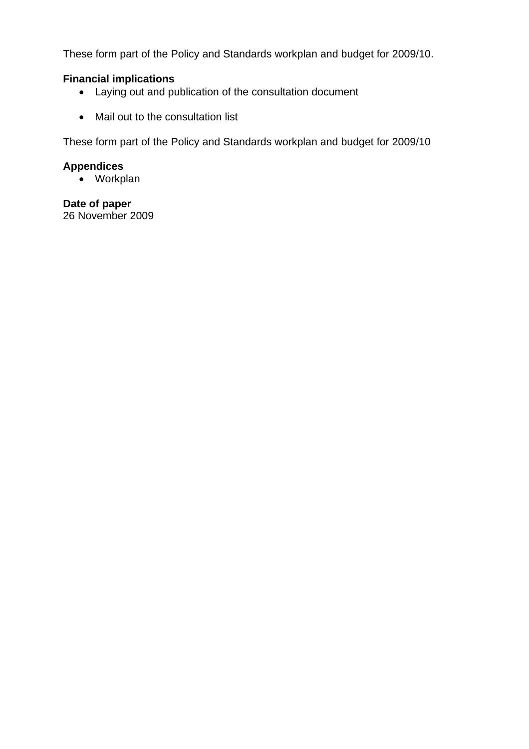These form part of the Policy and Standards workplan and budget for 2009/10.

#### **Financial implications**

- Laying out and publication of the consultation document
- Mail out to the consultation list

These form part of the Policy and Standards workplan and budget for 2009/10

#### **Appendices**

• Workplan

**Date of paper**  26 November 2009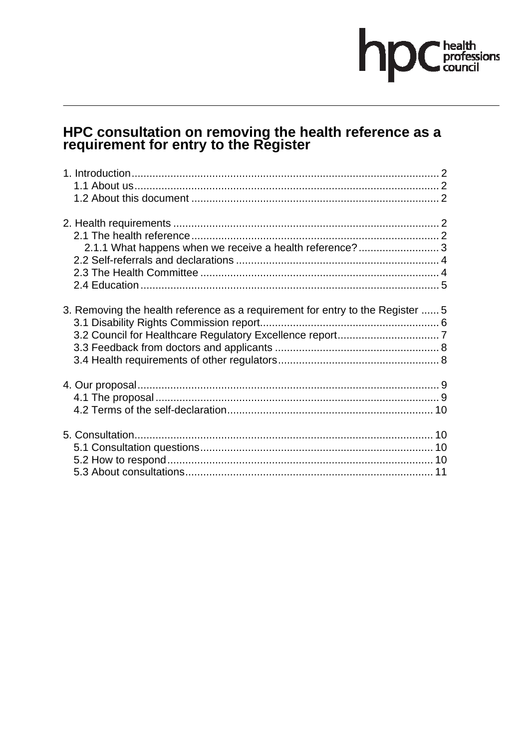# hp Chealth

# HPC consultation on removing the health reference as a requirement for entry to the Register

| 2.1.1 What happens when we receive a health reference? 3                       |  |
|--------------------------------------------------------------------------------|--|
|                                                                                |  |
|                                                                                |  |
|                                                                                |  |
| 3. Removing the health reference as a requirement for entry to the Register  5 |  |
|                                                                                |  |
|                                                                                |  |
|                                                                                |  |
|                                                                                |  |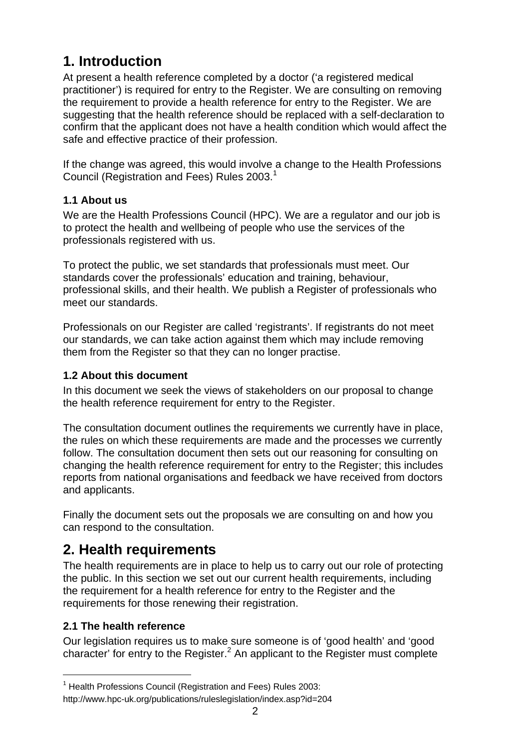# **1. Introduction**

At present a health reference completed by a doctor ('a registered medical practitioner') is required for entry to the Register. We are consulting on removing the requirement to provide a health reference for entry to the Register. We are suggesting that the health reference should be replaced with a self-declaration to confirm that the applicant does not have a health condition which would affect the safe and effective practice of their profession.

If the change was agreed, this would involve a change to the Health Professions Council (Registration and Fees) Rules 2003. $1$ 

# **1.1 About us**

We are the Health Professions Council (HPC). We are a regulator and our job is to protect the health and wellbeing of people who use the services of the professionals registered with us.

To protect the public, we set standards that professionals must meet. Our standards cover the professionals' education and training, behaviour, professional skills, and their health. We publish a Register of professionals who meet our standards.

Professionals on our Register are called 'registrants'. If registrants do not meet our standards, we can take action against them which may include removing them from the Register so that they can no longer practise.

# **1.2 About this document**

In this document we seek the views of stakeholders on our proposal to change the health reference requirement for entry to the Register.

The consultation document outlines the requirements we currently have in place, the rules on which these requirements are made and the processes we currently follow. The consultation document then sets out our reasoning for consulting on changing the health reference requirement for entry to the Register; this includes reports from national organisations and feedback we have received from doctors and applicants.

Finally the document sets out the proposals we are consulting on and how you can respond to the consultation.

# **2. Health requirements**

The health requirements are in place to help us to carry out our role of protecting the public. In this section we set out our current health requirements, including the requirement for a health reference for entry to the Register and the requirements for those renewing their registration.

# **2.1 The health reference**

l

Our legislation requires us to make sure someone is of 'good health' and 'good character' for entry to the Register.<sup>2</sup> An applicant to the Register must complete

<sup>&</sup>lt;sup>1</sup> Health Professions Council (Registration and Fees) Rules 2003: http://www.hpc-uk.org/publications/ruleslegislation/index.asp?id=204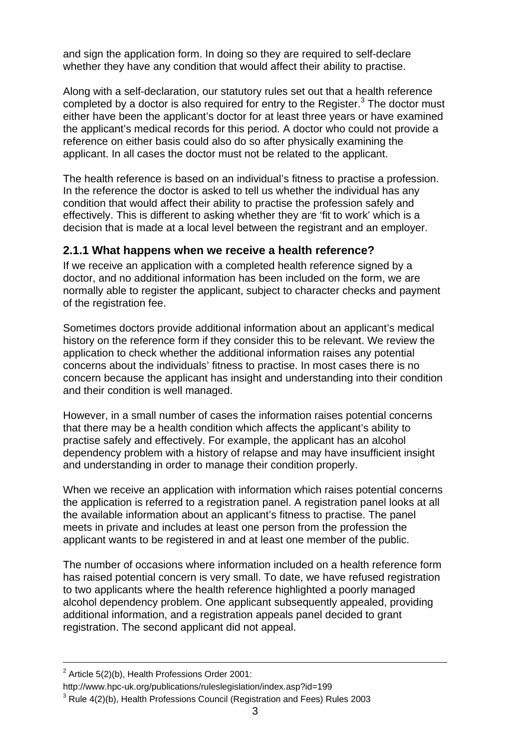and sign the application form. In doing so they are required to self-declare whether they have any condition that would affect their ability to practise.

Along with a self-declaration, our statutory rules set out that a health reference completed by a doctor is also required for entry to the Register. $3$  The doctor must either have been the applicant's doctor for at least three years or have examined the applicant's medical records for this period. A doctor who could not provide a reference on either basis could also do so after physically examining the applicant. In all cases the doctor must not be related to the applicant.

The health reference is based on an individual's fitness to practise a profession. In the reference the doctor is asked to tell us whether the individual has any condition that would affect their ability to practise the profession safely and effectively. This is different to asking whether they are 'fit to work' which is a decision that is made at a local level between the registrant and an employer.

# **2.1.1 What happens when we receive a health reference?**

If we receive an application with a completed health reference signed by a doctor, and no additional information has been included on the form, we are normally able to register the applicant, subject to character checks and payment of the registration fee.

Sometimes doctors provide additional information about an applicant's medical history on the reference form if they consider this to be relevant. We review the application to check whether the additional information raises any potential concerns about the individuals' fitness to practise. In most cases there is no concern because the applicant has insight and understanding into their condition and their condition is well managed.

However, in a small number of cases the information raises potential concerns that there may be a health condition which affects the applicant's ability to practise safely and effectively. For example, the applicant has an alcohol dependency problem with a history of relapse and may have insufficient insight and understanding in order to manage their condition properly.

When we receive an application with information which raises potential concerns the application is referred to a registration panel. A registration panel looks at all the available information about an applicant's fitness to practise. The panel meets in private and includes at least one person from the profession the applicant wants to be registered in and at least one member of the public.

The number of occasions where information included on a health reference form has raised potential concern is very small. To date, we have refused registration to two applicants where the health reference highlighted a poorly managed alcohol dependency problem. One applicant subsequently appealed, providing additional information, and a registration appeals panel decided to grant registration. The second applicant did not appeal.

 $\overline{2}$  $2$  Article 5(2)(b), Health Professions Order 2001:

http://www.hpc-uk.org/publications/ruleslegislation/index.asp?id=199

 $3$  Rule 4(2)(b), Health Professions Council (Registration and Fees) Rules 2003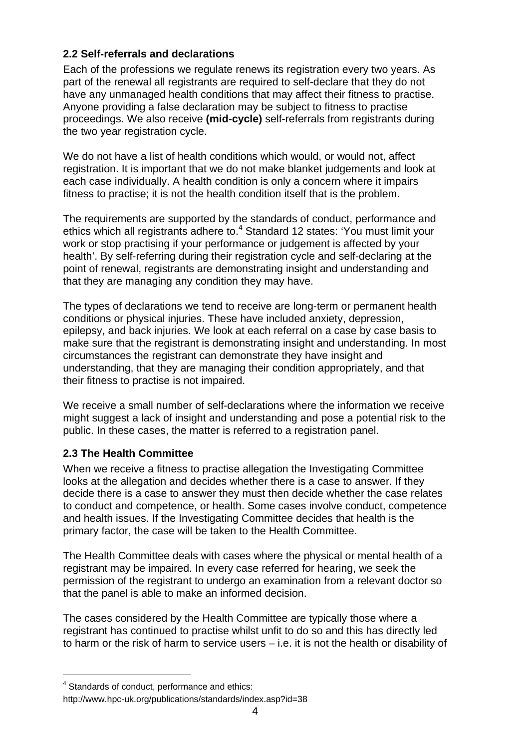# **2.2 Self-referrals and declarations**

Each of the professions we regulate renews its registration every two years. As part of the renewal all registrants are required to self-declare that they do not have any unmanaged health conditions that may affect their fitness to practise. Anyone providing a false declaration may be subject to fitness to practise proceedings. We also receive **(mid-cycle)** self-referrals from registrants during the two year registration cycle.

We do not have a list of health conditions which would, or would not, affect registration. It is important that we do not make blanket judgements and look at each case individually. A health condition is only a concern where it impairs fitness to practise; it is not the health condition itself that is the problem.

The requirements are supported by the standards of conduct, performance and ethics which all registrants adhere to.<sup>4</sup> Standard 12 states: 'You must limit your work or stop practising if your performance or judgement is affected by your health'. By self-referring during their registration cycle and self-declaring at the point of renewal, registrants are demonstrating insight and understanding and that they are managing any condition they may have.

The types of declarations we tend to receive are long-term or permanent health conditions or physical injuries. These have included anxiety, depression, epilepsy, and back injuries. We look at each referral on a case by case basis to make sure that the registrant is demonstrating insight and understanding. In most circumstances the registrant can demonstrate they have insight and understanding, that they are managing their condition appropriately, and that their fitness to practise is not impaired.

We receive a small number of self-declarations where the information we receive might suggest a lack of insight and understanding and pose a potential risk to the public. In these cases, the matter is referred to a registration panel.

# **2.3 The Health Committee**

When we receive a fitness to practise allegation the Investigating Committee looks at the allegation and decides whether there is a case to answer. If they decide there is a case to answer they must then decide whether the case relates to conduct and competence, or health. Some cases involve conduct, competence and health issues. If the Investigating Committee decides that health is the primary factor, the case will be taken to the Health Committee.

The Health Committee deals with cases where the physical or mental health of a registrant may be impaired. In every case referred for hearing, we seek the permission of the registrant to undergo an examination from a relevant doctor so that the panel is able to make an informed decision.

The cases considered by the Health Committee are typically those where a registrant has continued to practise whilst unfit to do so and this has directly led to harm or the risk of harm to service users – i.e. it is not the health or disability of

<sup>&</sup>lt;sup>4</sup> Standards of conduct, performance and ethics:

http://www.hpc-uk.org/publications/standards/index.asp?id=38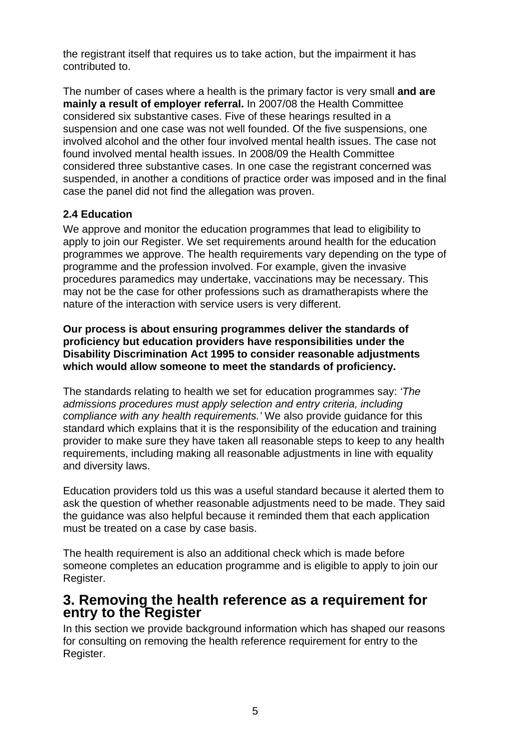the registrant itself that requires us to take action, but the impairment it has contributed to.

The number of cases where a health is the primary factor is very small **and are mainly a result of employer referral.** In 2007/08 the Health Committee considered six substantive cases. Five of these hearings resulted in a suspension and one case was not well founded. Of the five suspensions, one involved alcohol and the other four involved mental health issues. The case not found involved mental health issues. In 2008/09 the Health Committee considered three substantive cases. In one case the registrant concerned was suspended, in another a conditions of practice order was imposed and in the final case the panel did not find the allegation was proven.

# **2.4 Education**

We approve and monitor the education programmes that lead to eligibility to apply to join our Register. We set requirements around health for the education programmes we approve. The health requirements vary depending on the type of programme and the profession involved. For example, given the invasive procedures paramedics may undertake, vaccinations may be necessary. This may not be the case for other professions such as dramatherapists where the nature of the interaction with service users is very different.

**Our process is about ensuring programmes deliver the standards of proficiency but education providers have responsibilities under the Disability Discrimination Act 1995 to consider reasonable adjustments which would allow someone to meet the standards of proficiency.** 

The standards relating to health we set for education programmes say: *'The admissions procedures must apply selection and entry criteria, including compliance with any health requirements.'* We also provide guidance for this standard which explains that it is the responsibility of the education and training provider to make sure they have taken all reasonable steps to keep to any health requirements, including making all reasonable adjustments in line with equality and diversity laws.

Education providers told us this was a useful standard because it alerted them to ask the question of whether reasonable adjustments need to be made. They said the guidance was also helpful because it reminded them that each application must be treated on a case by case basis.

The health requirement is also an additional check which is made before someone completes an education programme and is eligible to apply to join our Register.

# **3. Removing the health reference as a requirement for entry to the Register**

In this section we provide background information which has shaped our reasons for consulting on removing the health reference requirement for entry to the Register.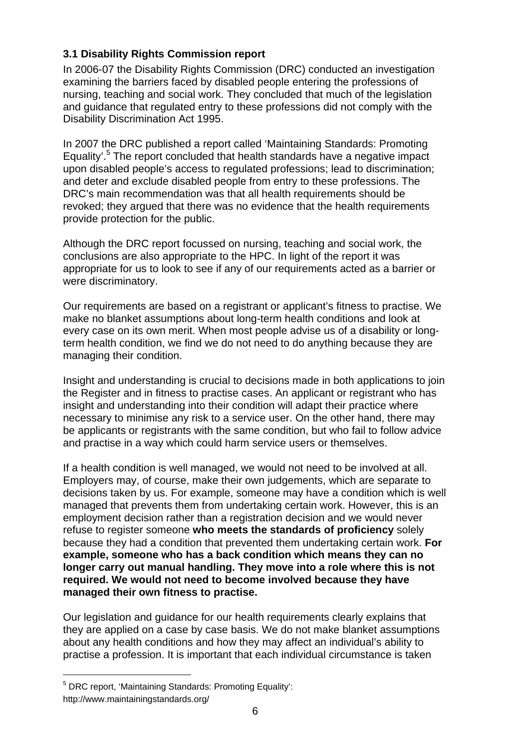# **3.1 Disability Rights Commission report**

In 2006-07 the Disability Rights Commission (DRC) conducted an investigation examining the barriers faced by disabled people entering the professions of nursing, teaching and social work. They concluded that much of the legislation and guidance that regulated entry to these professions did not comply with the Disability Discrimination Act 1995.

In 2007 the DRC published a report called 'Maintaining Standards: Promoting Equality'.<sup>5</sup> The report concluded that health standards have a negative impact upon disabled people's access to regulated professions; lead to discrimination; and deter and exclude disabled people from entry to these professions. The DRC's main recommendation was that all health requirements should be revoked; they argued that there was no evidence that the health requirements provide protection for the public.

Although the DRC report focussed on nursing, teaching and social work, the conclusions are also appropriate to the HPC. In light of the report it was appropriate for us to look to see if any of our requirements acted as a barrier or were discriminatory.

Our requirements are based on a registrant or applicant's fitness to practise. We make no blanket assumptions about long-term health conditions and look at every case on its own merit. When most people advise us of a disability or longterm health condition, we find we do not need to do anything because they are managing their condition.

Insight and understanding is crucial to decisions made in both applications to join the Register and in fitness to practise cases. An applicant or registrant who has insight and understanding into their condition will adapt their practice where necessary to minimise any risk to a service user. On the other hand, there may be applicants or registrants with the same condition, but who fail to follow advice and practise in a way which could harm service users or themselves.

If a health condition is well managed, we would not need to be involved at all. Employers may, of course, make their own judgements, which are separate to decisions taken by us. For example, someone may have a condition which is well managed that prevents them from undertaking certain work. However, this is an employment decision rather than a registration decision and we would never refuse to register someone **who meets the standards of proficiency** solely because they had a condition that prevented them undertaking certain work. **For example, someone who has a back condition which means they can no longer carry out manual handling. They move into a role where this is not required. We would not need to become involved because they have managed their own fitness to practise.** 

Our legislation and guidance for our health requirements clearly explains that they are applied on a case by case basis. We do not make blanket assumptions about any health conditions and how they may affect an individual's ability to practise a profession. It is important that each individual circumstance is taken

<sup>&</sup>lt;sup>5</sup> DRC report, 'Maintaining Standards: Promoting Equality': http://www.maintainingstandards.org/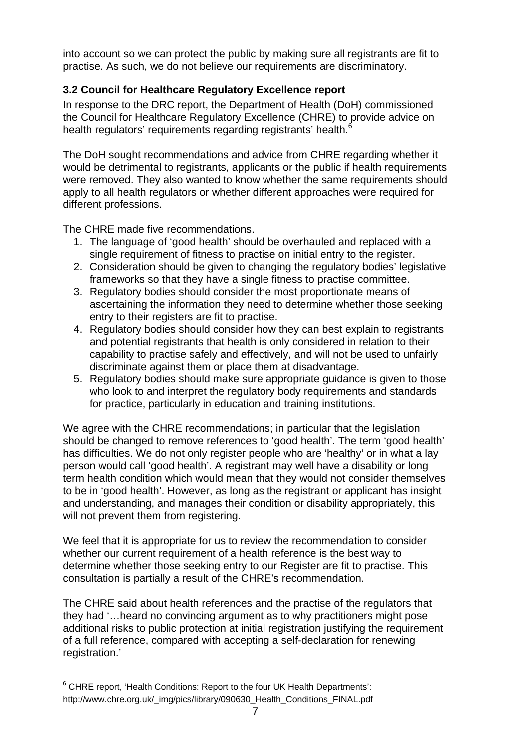into account so we can protect the public by making sure all registrants are fit to practise. As such, we do not believe our requirements are discriminatory.

# **3.2 Council for Healthcare Regulatory Excellence report**

In response to the DRC report, the Department of Health (DoH) commissioned the Council for Healthcare Regulatory Excellence (CHRE) to provide advice on health regulators' requirements regarding registrants' health.<sup>6</sup>

The DoH sought recommendations and advice from CHRE regarding whether it would be detrimental to registrants, applicants or the public if health requirements were removed. They also wanted to know whether the same requirements should apply to all health regulators or whether different approaches were required for different professions.

The CHRE made five recommendations.

- 1. The language of 'good health' should be overhauled and replaced with a single requirement of fitness to practise on initial entry to the register.
- 2. Consideration should be given to changing the regulatory bodies' legislative frameworks so that they have a single fitness to practise committee.
- 3. Regulatory bodies should consider the most proportionate means of ascertaining the information they need to determine whether those seeking entry to their registers are fit to practise.
- 4. Regulatory bodies should consider how they can best explain to registrants and potential registrants that health is only considered in relation to their capability to practise safely and effectively, and will not be used to unfairly discriminate against them or place them at disadvantage.
- 5. Regulatory bodies should make sure appropriate guidance is given to those who look to and interpret the regulatory body requirements and standards for practice, particularly in education and training institutions.

We agree with the CHRE recommendations; in particular that the legislation should be changed to remove references to 'good health'. The term 'good health' has difficulties. We do not only register people who are 'healthy' or in what a lay person would call 'good health'. A registrant may well have a disability or long term health condition which would mean that they would not consider themselves to be in 'good health'. However, as long as the registrant or applicant has insight and understanding, and manages their condition or disability appropriately, this will not prevent them from registering.

We feel that it is appropriate for us to review the recommendation to consider whether our current requirement of a health reference is the best way to determine whether those seeking entry to our Register are fit to practise. This consultation is partially a result of the CHRE's recommendation.

The CHRE said about health references and the practise of the regulators that they had '…heard no convincing argument as to why practitioners might pose additional risks to public protection at initial registration justifying the requirement of a full reference, compared with accepting a self-declaration for renewing registration.'

 $6$  CHRE report, 'Health Conditions: Report to the four UK Health Departments': http://www.chre.org.uk/\_img/pics/library/090630\_Health\_Conditions\_FINAL.pdf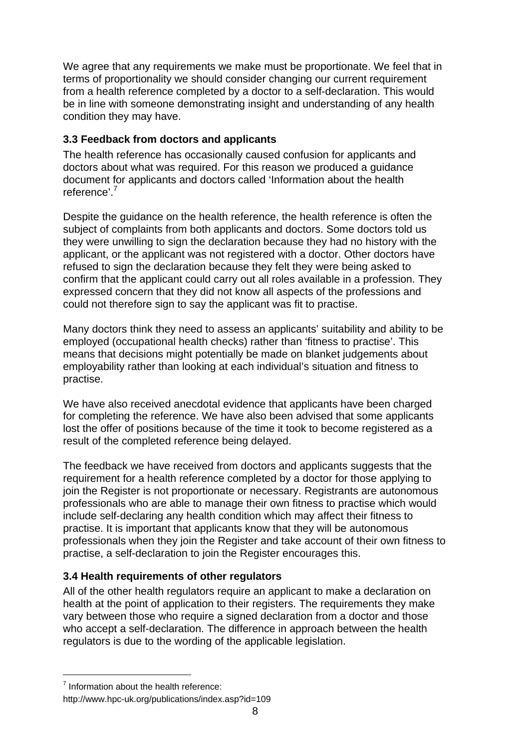We agree that any requirements we make must be proportionate. We feel that in terms of proportionality we should consider changing our current requirement from a health reference completed by a doctor to a self-declaration. This would be in line with someone demonstrating insight and understanding of any health condition they may have.

# **3.3 Feedback from doctors and applicants**

The health reference has occasionally caused confusion for applicants and doctors about what was required. For this reason we produced a guidance document for applicants and doctors called 'Information about the health reference'.<sup>7</sup>

Despite the guidance on the health reference, the health reference is often the subject of complaints from both applicants and doctors. Some doctors told us they were unwilling to sign the declaration because they had no history with the applicant, or the applicant was not registered with a doctor. Other doctors have refused to sign the declaration because they felt they were being asked to confirm that the applicant could carry out all roles available in a profession. They expressed concern that they did not know all aspects of the professions and could not therefore sign to say the applicant was fit to practise.

Many doctors think they need to assess an applicants' suitability and ability to be employed (occupational health checks) rather than 'fitness to practise'. This means that decisions might potentially be made on blanket judgements about employability rather than looking at each individual's situation and fitness to practise.

We have also received anecdotal evidence that applicants have been charged for completing the reference. We have also been advised that some applicants lost the offer of positions because of the time it took to become registered as a result of the completed reference being delayed.

The feedback we have received from doctors and applicants suggests that the requirement for a health reference completed by a doctor for those applying to join the Register is not proportionate or necessary. Registrants are autonomous professionals who are able to manage their own fitness to practise which would include self-declaring any health condition which may affect their fitness to practise. It is important that applicants know that they will be autonomous professionals when they join the Register and take account of their own fitness to practise, a self-declaration to join the Register encourages this.

# **3.4 Health requirements of other regulators**

All of the other health regulators require an applicant to make a declaration on health at the point of application to their registers. The requirements they make vary between those who require a signed declaration from a doctor and those who accept a self-declaration. The difference in approach between the health regulators is due to the wording of the applicable legislation.

<sup>&</sup>lt;sup>7</sup> Information about the health reference:

http://www.hpc-uk.org/publications/index.asp?id=109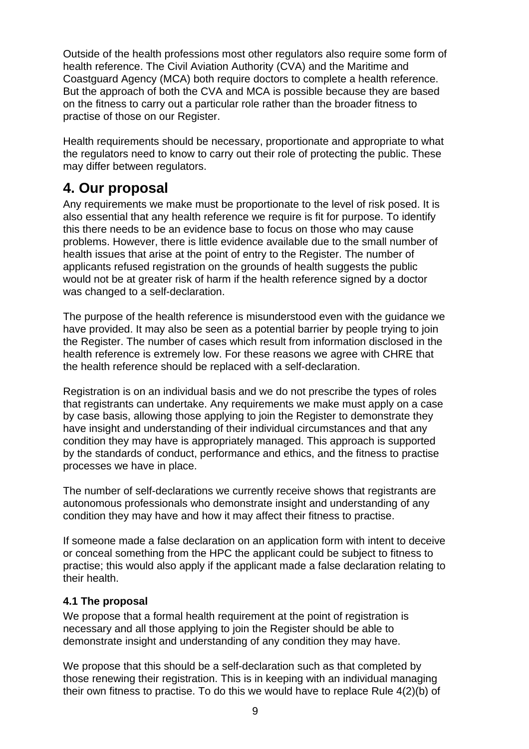Outside of the health professions most other regulators also require some form of health reference. The Civil Aviation Authority (CVA) and the Maritime and Coastguard Agency (MCA) both require doctors to complete a health reference. But the approach of both the CVA and MCA is possible because they are based on the fitness to carry out a particular role rather than the broader fitness to practise of those on our Register.

Health requirements should be necessary, proportionate and appropriate to what the regulators need to know to carry out their role of protecting the public. These may differ between regulators.

# **4. Our proposal**

Any requirements we make must be proportionate to the level of risk posed. It is also essential that any health reference we require is fit for purpose. To identify this there needs to be an evidence base to focus on those who may cause problems. However, there is little evidence available due to the small number of health issues that arise at the point of entry to the Register. The number of applicants refused registration on the grounds of health suggests the public would not be at greater risk of harm if the health reference signed by a doctor was changed to a self-declaration.

The purpose of the health reference is misunderstood even with the guidance we have provided. It may also be seen as a potential barrier by people trying to join the Register. The number of cases which result from information disclosed in the health reference is extremely low. For these reasons we agree with CHRE that the health reference should be replaced with a self-declaration.

Registration is on an individual basis and we do not prescribe the types of roles that registrants can undertake. Any requirements we make must apply on a case by case basis, allowing those applying to join the Register to demonstrate they have insight and understanding of their individual circumstances and that any condition they may have is appropriately managed. This approach is supported by the standards of conduct, performance and ethics, and the fitness to practise processes we have in place.

The number of self-declarations we currently receive shows that registrants are autonomous professionals who demonstrate insight and understanding of any condition they may have and how it may affect their fitness to practise.

If someone made a false declaration on an application form with intent to deceive or conceal something from the HPC the applicant could be subject to fitness to practise; this would also apply if the applicant made a false declaration relating to their health.

# **4.1 The proposal**

We propose that a formal health requirement at the point of registration is necessary and all those applying to join the Register should be able to demonstrate insight and understanding of any condition they may have.

We propose that this should be a self-declaration such as that completed by those renewing their registration. This is in keeping with an individual managing their own fitness to practise. To do this we would have to replace Rule 4(2)(b) of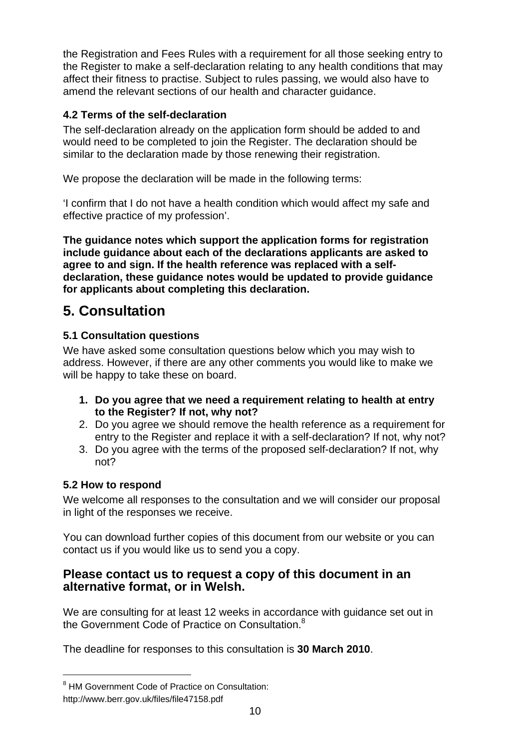the Registration and Fees Rules with a requirement for all those seeking entry to the Register to make a self-declaration relating to any health conditions that may affect their fitness to practise. Subject to rules passing, we would also have to amend the relevant sections of our health and character guidance.

# **4.2 Terms of the self-declaration**

The self-declaration already on the application form should be added to and would need to be completed to join the Register. The declaration should be similar to the declaration made by those renewing their registration.

We propose the declaration will be made in the following terms:

'I confirm that I do not have a health condition which would affect my safe and effective practice of my profession'.

**The guidance notes which support the application forms for registration include guidance about each of the declarations applicants are asked to agree to and sign. If the health reference was replaced with a selfdeclaration, these guidance notes would be updated to provide guidance for applicants about completing this declaration.** 

# **5. Consultation**

# **5.1 Consultation questions**

We have asked some consultation questions below which you may wish to address. However, if there are any other comments you would like to make we will be happy to take these on board.

- **1. Do you agree that we need a requirement relating to health at entry to the Register? If not, why not?**
- 2. Do you agree we should remove the health reference as a requirement for entry to the Register and replace it with a self-declaration? If not, why not?
- 3. Do you agree with the terms of the proposed self-declaration? If not, why not?

# **5.2 How to respond**

l

We welcome all responses to the consultation and we will consider our proposal in light of the responses we receive.

You can download further copies of this document from our website or you can contact us if you would like us to send you a copy.

# **Please contact us to request a copy of this document in an alternative format, or in Welsh.**

We are consulting for at least 12 weeks in accordance with guidance set out in the Government Code of Practice on Consultation.<sup>8</sup>

The deadline for responses to this consultation is **30 March 2010**.

<sup>&</sup>lt;sup>8</sup> HM Government Code of Practice on Consultation: http://www.berr.gov.uk/files/file47158.pdf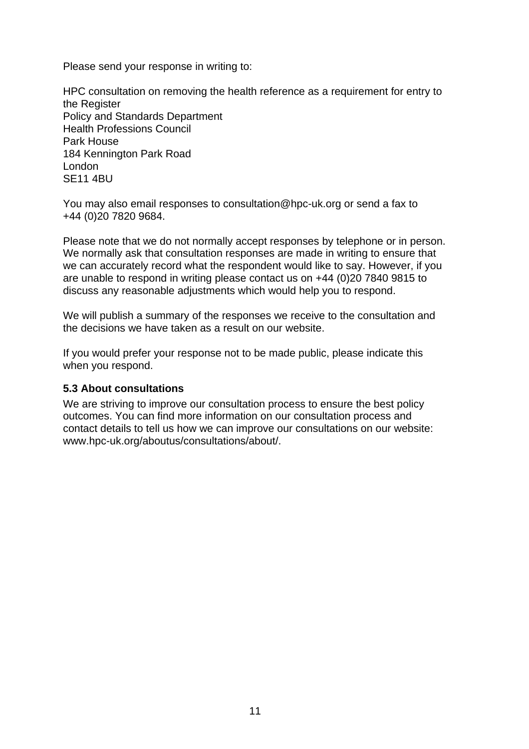Please send your response in writing to:

HPC consultation on removing the health reference as a requirement for entry to the Register Policy and Standards Department Health Professions Council Park House 184 Kennington Park Road London SE11 4BU

You may also email responses to consultation@hpc-uk.org or send a fax to +44 (0)20 7820 9684.

Please note that we do not normally accept responses by telephone or in person. We normally ask that consultation responses are made in writing to ensure that we can accurately record what the respondent would like to say. However, if you are unable to respond in writing please contact us on +44 (0)20 7840 9815 to discuss any reasonable adjustments which would help you to respond.

We will publish a summary of the responses we receive to the consultation and the decisions we have taken as a result on our website.

If you would prefer your response not to be made public, please indicate this when you respond.

#### **5.3 About consultations**

We are striving to improve our consultation process to ensure the best policy outcomes. You can find more information on our consultation process and contact details to tell us how we can improve our consultations on our website: www.hpc-uk.org/aboutus/consultations/about/.